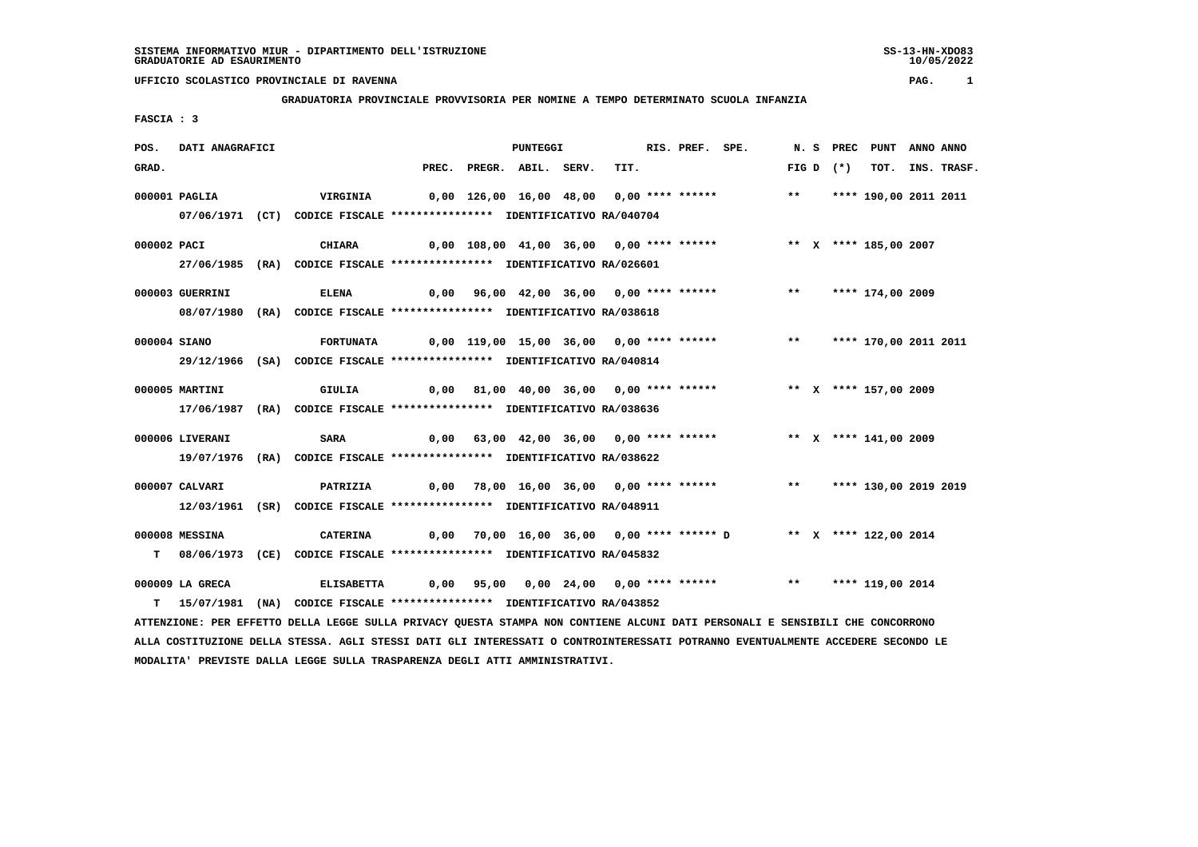10/05/2022

# **UFFICIO SCOLASTICO PROVINCIALE DI RAVENNA PAG. 1**

# **GRADUATORIA PROVINCIALE PROVVISORIA PER NOMINE A TEMPO DETERMINATO SCUOLA INFANZIA**

 **FASCIA : 3**

| POS.         | DATI ANAGRAFICI |                                                                                                                               |                                                                          | <b>PUNTEGGI</b> |                          |  |  |  |      | RIS. PREF. SPE.                                                           |  |            | N. S PREC PUNT ANNO ANNO |                  |
|--------------|-----------------|-------------------------------------------------------------------------------------------------------------------------------|--------------------------------------------------------------------------|-----------------|--------------------------|--|--|--|------|---------------------------------------------------------------------------|--|------------|--------------------------|------------------|
| GRAD.        |                 |                                                                                                                               |                                                                          |                 | PREC. PREGR. ABIL. SERV. |  |  |  | TIT. |                                                                           |  | $FIGD (*)$ |                          | TOT. INS. TRASF. |
|              | 000001 PAGLIA   | <b>VIRGINIA</b>                                                                                                               | 0,00 126,00 16,00 48,00 0,00 **** ****** *** *** **** 190,00 2011 2011   |                 |                          |  |  |  |      |                                                                           |  |            |                          |                  |
|              |                 | 07/06/1971 (CT) CODICE FISCALE *************** IDENTIFICATIVO RA/040704                                                       |                                                                          |                 |                          |  |  |  |      |                                                                           |  |            |                          |                  |
| 000002 PACI  |                 | CHIARA                                                                                                                        |                                                                          |                 |                          |  |  |  |      | 0,00 108,00 41,00 36,00 0,00 **** ****** * *** * **** 185,00 2007         |  |            |                          |                  |
|              |                 | 27/06/1985 (RA) CODICE FISCALE *************** IDENTIFICATIVO RA/026601                                                       |                                                                          |                 |                          |  |  |  |      |                                                                           |  |            |                          |                  |
|              | 000003 GUERRINI | <b>ELENA</b>                                                                                                                  |                                                                          |                 |                          |  |  |  |      | 0,00 96,00 42,00 36,00 0,00 **** ******           **     **** 174,00 2009 |  |            |                          |                  |
|              |                 | 08/07/1980 (RA) CODICE FISCALE *************** IDENTIFICATIVO RA/038618                                                       |                                                                          |                 |                          |  |  |  |      |                                                                           |  |            |                          |                  |
| 000004 SIANO |                 | <b>FORTUNATA</b>                                                                                                              | 0,00 119,00 15,00 36,00 0,00 **** ******      **   **** 170,00 2011 2011 |                 |                          |  |  |  |      |                                                                           |  |            |                          |                  |
|              |                 | 29/12/1966 (SA) CODICE FISCALE *************** IDENTIFICATIVO RA/040814                                                       |                                                                          |                 |                          |  |  |  |      |                                                                           |  |            |                          |                  |
|              | 000005 MARTINI  | GIULIA                                                                                                                        |                                                                          |                 |                          |  |  |  |      | 0,00 81,00 40,00 36,00 0,00 **** ****** *** ** ** **** 157,00 2009        |  |            |                          |                  |
|              |                 | 17/06/1987 (RA) CODICE FISCALE *************** IDENTIFICATIVO RA/038636                                                       |                                                                          |                 |                          |  |  |  |      |                                                                           |  |            |                          |                  |
|              | 000006 LIVERANI | <b>SARA</b>                                                                                                                   | 0,00 63,00 42,00 36,00 0,00 **** ******      ** x **** 141,00 2009       |                 |                          |  |  |  |      |                                                                           |  |            |                          |                  |
|              |                 | 19/07/1976 (RA) CODICE FISCALE *************** IDENTIFICATIVO RA/038622                                                       |                                                                          |                 |                          |  |  |  |      |                                                                           |  |            |                          |                  |
|              |                 |                                                                                                                               |                                                                          |                 |                          |  |  |  |      |                                                                           |  |            |                          |                  |
|              | 000007 CALVARI  | <b>PATRIZIA</b><br>12/03/1961 (SR) CODICE FISCALE *************** IDENTIFICATIVO RA/048911                                    | 0,00 78,00 16,00 36,00 0,00 **** ******     **   **** 130,00 2019 2019   |                 |                          |  |  |  |      |                                                                           |  |            |                          |                  |
|              |                 |                                                                                                                               |                                                                          |                 |                          |  |  |  |      |                                                                           |  |            |                          |                  |
|              | 000008 MESSINA  | <b>CATERINA</b>                                                                                                               |                                                                          |                 |                          |  |  |  |      | 0,00 70,00 16,00 36,00 0,00 **** ****** D ** X **** 122,00 2014           |  |            |                          |                  |
|              |                 | T 08/06/1973 (CE) CODICE FISCALE *************** IDENTIFICATIVO RA/045832                                                     |                                                                          |                 |                          |  |  |  |      |                                                                           |  |            |                          |                  |
|              | 000009 LA GRECA | ELISABETTA 0,00 95,00 0,00 24,00 0,00 **** ****** *** **** 119,00 2014                                                        |                                                                          |                 |                          |  |  |  |      |                                                                           |  |            |                          |                  |
|              |                 | T 15/07/1981 (NA) CODICE FISCALE **************** IDENTIFICATIVO RA/043852                                                    |                                                                          |                 |                          |  |  |  |      |                                                                           |  |            |                          |                  |
|              |                 | ATTENZIONE: PER EFFETTO DELLA LEGGE SULLA PRIVACY QUESTA STAMPA NON CONTIENE ALCUNI DATI PERSONALI E SENSIBILI CHE CONCORRONO |                                                                          |                 |                          |  |  |  |      |                                                                           |  |            |                          |                  |

 **ALLA COSTITUZIONE DELLA STESSA. AGLI STESSI DATI GLI INTERESSATI O CONTROINTERESSATI POTRANNO EVENTUALMENTE ACCEDERE SECONDO LE MODALITA' PREVISTE DALLA LEGGE SULLA TRASPARENZA DEGLI ATTI AMMINISTRATIVI.**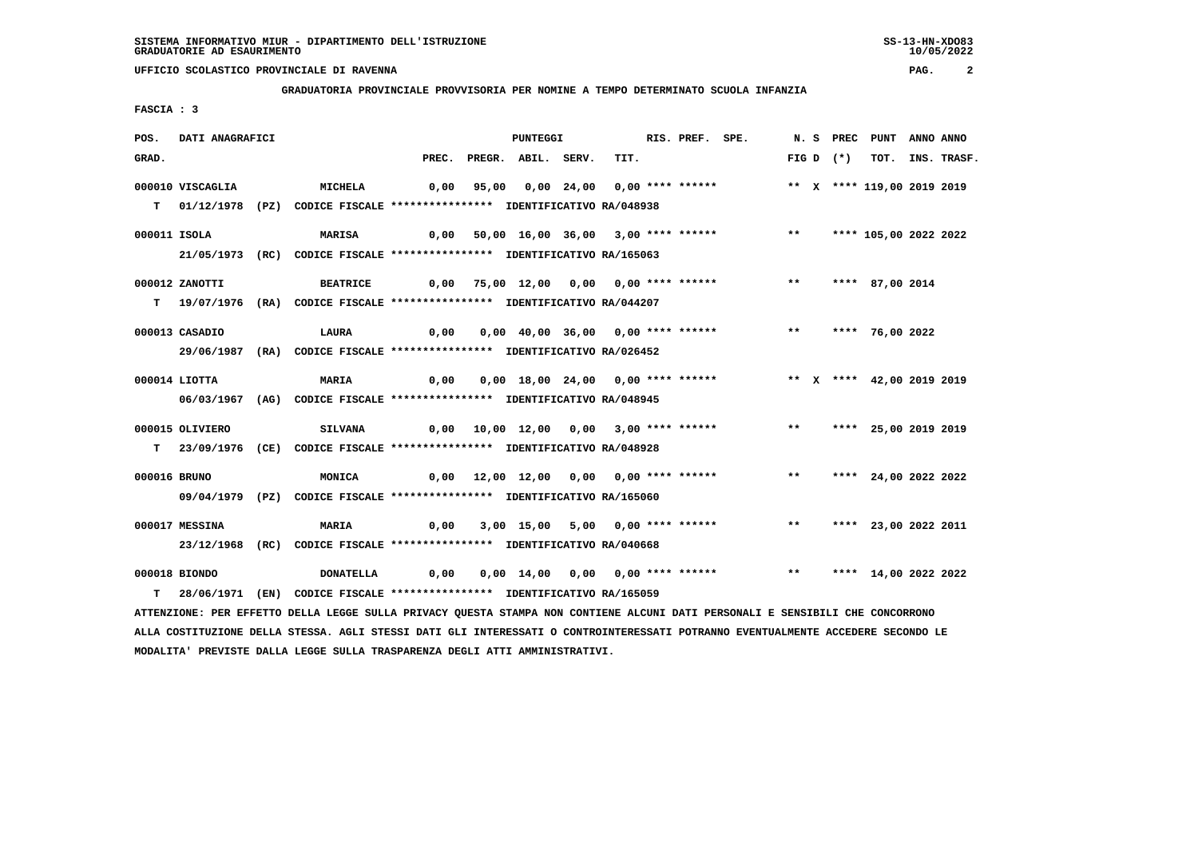**MODALITA' PREVISTE DALLA LEGGE SULLA TRASPARENZA DEGLI ATTI AMMINISTRATIVI.**

# **UFFICIO SCOLASTICO PROVINCIALE DI RAVENNA PAG. 2**

#### **GRADUATORIA PROVINCIALE PROVVISORIA PER NOMINE A TEMPO DETERMINATO SCUOLA INFANZIA**

 **FASCIA : 3**

| POS.         | DATI ANAGRAFICI                                                           |  |                                                                                                                                 |       |  | <b>PUNTEGGI</b>    |  |                                         | RIS. PREF. SPE. |  |              | N. S PREC PUNT |             |                            | ANNO ANNO |             |
|--------------|---------------------------------------------------------------------------|--|---------------------------------------------------------------------------------------------------------------------------------|-------|--|--------------------|--|-----------------------------------------|-----------------|--|--------------|----------------|-------------|----------------------------|-----------|-------------|
| GRAD.        |                                                                           |  |                                                                                                                                 | PREC. |  | PREGR. ABIL. SERV. |  | TIT.                                    |                 |  |              |                | FIG D $(*)$ | тот.                       |           | INS. TRASF. |
|              | 000010 VISCAGLIA                                                          |  | MICHELA                                                                                                                         | 0,00  |  |                    |  |                                         |                 |  |              |                |             | ** X **** 119,00 2019 2019 |           |             |
|              |                                                                           |  |                                                                                                                                 |       |  |                    |  |                                         |                 |  |              |                |             |                            |           |             |
|              | T 01/12/1978 (PZ) CODICE FISCALE *************** IDENTIFICATIVO RA/048938 |  |                                                                                                                                 |       |  |                    |  |                                         |                 |  |              |                |             |                            |           |             |
| 000011 ISOLA |                                                                           |  | MARISA                                                                                                                          |       |  |                    |  | 0,00 50,00 16,00 36,00 3,00 **** ****** |                 |  | $***$        |                |             | **** 105,00 2022 2022      |           |             |
|              |                                                                           |  | 21/05/1973 (RC) CODICE FISCALE *************** IDENTIFICATIVO RA/165063                                                         |       |  |                    |  |                                         |                 |  |              |                |             |                            |           |             |
|              |                                                                           |  |                                                                                                                                 |       |  |                    |  |                                         |                 |  |              |                |             |                            |           |             |
|              | 000012 ZANOTTI                                                            |  | <b>BEATRICE</b>                                                                                                                 |       |  |                    |  | 0,00 75,00 12,00 0,00 0,00 **** ******  |                 |  | $***$        |                |             | **** 87,00 2014            |           |             |
|              |                                                                           |  | T 19/07/1976 (RA) CODICE FISCALE **************** IDENTIFICATIVO RA/044207                                                      |       |  |                    |  |                                         |                 |  |              |                |             |                            |           |             |
|              | 000013 CASADIO                                                            |  | LAURA                                                                                                                           | 0,00  |  |                    |  | 0,00 40,00 36,00 0,00 **** ******       |                 |  | $***$        |                |             | **** 76,00 2022            |           |             |
|              |                                                                           |  |                                                                                                                                 |       |  |                    |  |                                         |                 |  |              |                |             |                            |           |             |
|              |                                                                           |  | 29/06/1987 (RA) CODICE FISCALE *************** IDENTIFICATIVO RA/026452                                                         |       |  |                    |  |                                         |                 |  |              |                |             |                            |           |             |
|              | 000014 LIOTTA                                                             |  | <b>MARIA</b>                                                                                                                    | 0,00  |  |                    |  | 0,00 18,00 24,00 0,00 **** ******       |                 |  |              |                |             | ** X **** 42,00 2019 2019  |           |             |
|              |                                                                           |  | 06/03/1967 (AG) CODICE FISCALE *************** IDENTIFICATIVO RA/048945                                                         |       |  |                    |  |                                         |                 |  |              |                |             |                            |           |             |
|              |                                                                           |  |                                                                                                                                 |       |  |                    |  |                                         |                 |  |              |                |             |                            |           |             |
|              | 000015 OLIVIERO                                                           |  | <b>SILVANA</b>                                                                                                                  |       |  |                    |  |                                         |                 |  | $***$        |                |             | **** 25,00 2019 2019       |           |             |
|              |                                                                           |  | T 23/09/1976 (CE) CODICE FISCALE **************** IDENTIFICATIVO RA/048928                                                      |       |  |                    |  |                                         |                 |  |              |                |             |                            |           |             |
| 000016 BRUNO |                                                                           |  | MONICA                                                                                                                          |       |  |                    |  | 0,00 12,00 12,00 0,00 0,00 **** ******  |                 |  | $***$        |                |             | **** 24,00 2022 2022       |           |             |
|              |                                                                           |  |                                                                                                                                 |       |  |                    |  |                                         |                 |  |              |                |             |                            |           |             |
|              |                                                                           |  | 09/04/1979 (PZ) CODICE FISCALE *************** IDENTIFICATIVO RA/165060                                                         |       |  |                    |  |                                         |                 |  |              |                |             |                            |           |             |
|              | 000017 MESSINA                                                            |  | <b>MARIA</b>                                                                                                                    | 0,00  |  |                    |  | 3,00 15,00 5,00 0,00 **** ******        |                 |  | $***$        |                |             | **** 23,00 2022 2011       |           |             |
|              |                                                                           |  |                                                                                                                                 |       |  |                    |  |                                         |                 |  |              |                |             |                            |           |             |
|              | 23/12/1968 (RC) CODICE FISCALE *************** IDENTIFICATIVO RA/040668   |  |                                                                                                                                 |       |  |                    |  |                                         |                 |  |              |                |             |                            |           |             |
|              | 000018 BIONDO                                                             |  | <b>DONATELLA</b>                                                                                                                | 0,00  |  |                    |  | 0,00 14,00 0,00 0,00 **** ******        |                 |  | $\star\star$ |                |             | **** 14,00 2022 2022       |           |             |
| т            |                                                                           |  | 28/06/1971 (EN) CODICE FISCALE **************** IDENTIFICATIVO RA/165059                                                        |       |  |                    |  |                                         |                 |  |              |                |             |                            |           |             |
|              |                                                                           |  | ATTENZIONE: PER EFFETTO DELLA LEGGE SULLA PRIVACY QUESTA STAMPA NON CONTIENE ALCUNI DATI PERSONALI E SENSIBILI CHE CONCORRONO   |       |  |                    |  |                                         |                 |  |              |                |             |                            |           |             |
|              |                                                                           |  | ALLA COSTITUZIONE DELLA STESSA. AGLI STESSI DATI GLI INTERESSATI O CONTROINTERESSATI POTRANNO EVENTUALMENTE ACCEDERE SECONDO LE |       |  |                    |  |                                         |                 |  |              |                |             |                            |           |             |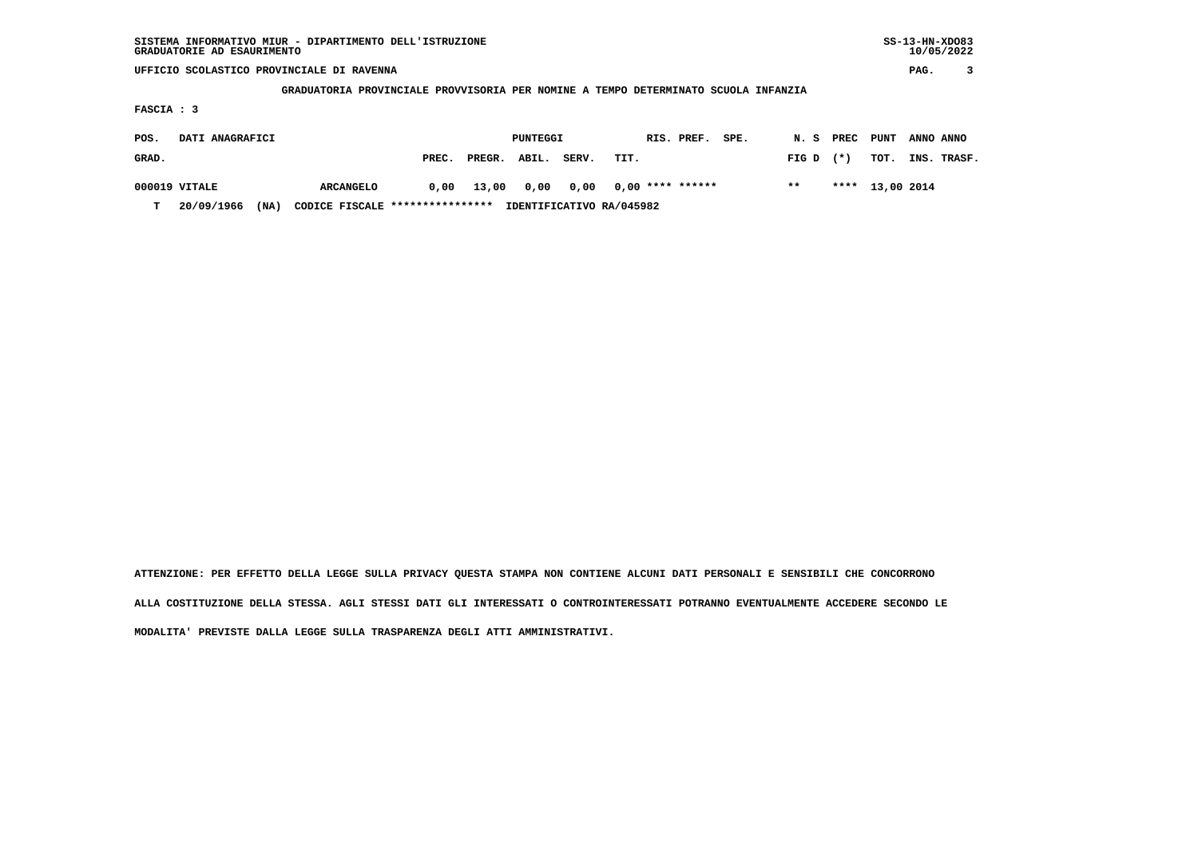## **UFFICIO SCOLASTICO PROVINCIALE DI RAVENNA PAG. 3**

#### **GRADUATORIA PROVINCIALE PROVVISORIA PER NOMINE A TEMPO DETERMINATO SCUOLA INFANZIA**

 **FASCIA : 3**

| POS.<br>DATI ANAGRAFICI |               |      |                                 |       | PUNTEGGI |       | RIS. PREF. | SPE.                     | N. S | PREC  | PUNT  | ANNO ANNO  |             |
|-------------------------|---------------|------|---------------------------------|-------|----------|-------|------------|--------------------------|------|-------|-------|------------|-------------|
| GRAD.                   |               |      |                                 | PREC. | PREGR.   | ABIL. | SERV.      | TIT.                     |      | FIG D | $(*)$ | тот.       | INS. TRASF. |
|                         | 000019 VITALE |      | <b>ARCANGELO</b>                | 0,00  | 13,00    | 0.00  | 0.00       | $0.00$ **** ******       |      | $* *$ | ****  | 13,00 2014 |             |
| т                       | 20/09/1966    | (NA) | CODICE FISCALE **************** |       |          |       |            | IDENTIFICATIVO RA/045982 |      |       |       |            |             |

 **ATTENZIONE: PER EFFETTO DELLA LEGGE SULLA PRIVACY QUESTA STAMPA NON CONTIENE ALCUNI DATI PERSONALI E SENSIBILI CHE CONCORRONO ALLA COSTITUZIONE DELLA STESSA. AGLI STESSI DATI GLI INTERESSATI O CONTROINTERESSATI POTRANNO EVENTUALMENTE ACCEDERE SECONDO LE MODALITA' PREVISTE DALLA LEGGE SULLA TRASPARENZA DEGLI ATTI AMMINISTRATIVI.**